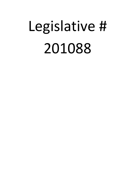## Legislative # 201088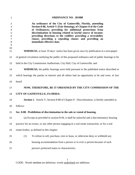| 1                                    | <b>ORDINANCE NO. 201088</b>                                                                                                                                                                                                                                                                                                                                                                                          |
|--------------------------------------|----------------------------------------------------------------------------------------------------------------------------------------------------------------------------------------------------------------------------------------------------------------------------------------------------------------------------------------------------------------------------------------------------------------------|
| 2<br>3<br>4<br>5<br>6<br>7<br>8<br>9 | An ordinance of the City of Gainesville, Florida, amending<br>Section 8-88, Article V (Fair Housing), of Chapter 8 of the Code<br>of Ordinances; providing for additional protections from<br>discrimination in housing related to lawful source of income;<br>providing directions to the codifier; providing a severability<br>clause; providing a repealing clause; and providing an<br>immediate effective date. |
| 10<br>11                             | <b>WHEREAS</b> , at least 10 days' notice has been given once by publication in a newspaper                                                                                                                                                                                                                                                                                                                          |
| 12                                   | of general circulation notifying the public of this proposed ordinance and of public hearings to be                                                                                                                                                                                                                                                                                                                  |
| 13                                   | held in the City Commission Auditorium, City Hall, City of Gainesville; and                                                                                                                                                                                                                                                                                                                                          |
| 14                                   | <b>WHEREAS</b> , the public hearings were held pursuant to the published notice described at                                                                                                                                                                                                                                                                                                                         |
| 15                                   | which hearings the parties in interest and all others had an opportunity to be and were, in fact                                                                                                                                                                                                                                                                                                                     |
| 16                                   | heard.                                                                                                                                                                                                                                                                                                                                                                                                               |
| 17                                   | NOW, THEREFORE, BE IT ORDAINED BY THE CITY COMMISSION OF THE                                                                                                                                                                                                                                                                                                                                                         |
| 18                                   | <b>CITY OF GAINESVILLE, FLORIDA:</b>                                                                                                                                                                                                                                                                                                                                                                                 |
| 19                                   | <b>Section 1.</b> Article V, Section 8-88 of Chapter 8 - Discrimination, is hereby amended as                                                                                                                                                                                                                                                                                                                        |
| 20                                   | follows:                                                                                                                                                                                                                                                                                                                                                                                                             |
| 21                                   | Sec. 8-88. Prohibition of discrimination in the sale or rental of housing.                                                                                                                                                                                                                                                                                                                                           |
| 22                                   | (a) Except as provided in section 8-94, it shall be unlawful and a discriminatory housing                                                                                                                                                                                                                                                                                                                            |
| 23                                   | practice for an owner, or any other person engaging in a real estate transaction, or for a real                                                                                                                                                                                                                                                                                                                      |
| 24                                   | estate broker, as defined in this chapter:                                                                                                                                                                                                                                                                                                                                                                           |
| 25                                   | (1)<br>To refuse to sell, purchase, rent or lease, or otherwise deny or withhold any                                                                                                                                                                                                                                                                                                                                 |
| 26                                   | housing accommodation from a person or to evict a person because of such                                                                                                                                                                                                                                                                                                                                             |
| 27                                   | person's protected status or characteristic;                                                                                                                                                                                                                                                                                                                                                                         |
|                                      |                                                                                                                                                                                                                                                                                                                                                                                                                      |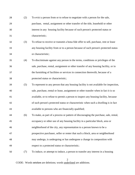| 28 | (2) | To evict a person from or to refuse to negotiate with a person for the sale,          |
|----|-----|---------------------------------------------------------------------------------------|
| 29 |     | purchase, rental, assignment or other transfer of the title, leasehold or other       |
| 30 |     | interest in any housing facility because of such person's protected status or         |
| 31 |     | characteristic;                                                                       |
| 32 | (3) | To refuse to receive or transmit a bona fide offer to sell, purchase, rent or lease   |
| 33 |     | any housing facility from or to a person because of such person's protected status    |
| 34 |     | or characteristic;                                                                    |
| 35 | (4) | To discriminate against any person in the terms, conditions or privileges of the      |
| 36 |     | sale, purchase, rental, assignment or other transfer of any housing facility, or in   |
| 37 |     | the furnishing of facilities or services in connection therewith, because of a        |
| 38 |     | protected status or characteristic;                                                   |
| 39 | (5) | To represent to any person that any housing facility is not available for inspection, |
| 40 |     | sale, purchase, rental or lease, assignment or other transfer when in fact it is so   |
| 41 |     | available, or to refuse to permit a person to inspect any housing facility, because   |
| 42 |     | of such person's protected status or characteristic when such a dwelling is in fact   |
| 43 |     | available to persons who are financially qualified;                                   |
| 44 | (6) | To make, as part of a process or pattern of discouraging the purchase, sale, rental,  |
| 45 |     | occupancy or other use of any housing facility in a particular block, area or         |
| 46 |     | neighborhood of the city, any representation to a person known to be a                |
| 47 |     | prospective purchaser, seller or renter that such a block, area or neighborhood       |
| 48 |     | may undergo, is undergoing or has undergone a change in composition with              |
| 49 |     | respect to a protected status or characteristic;                                      |
| 50 | (7) | To induce, or attempt to induce, a person to transfer any interest in a housing       |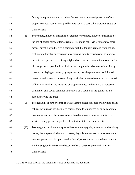facility by representations regarding the existing or potential proximity of real property owned, used or occupied by a person of a particular protected status or characteristic;

- (8) To promote, induce or influence, or attempt to promote, induce or influence, by the use of postal cards, letters, circulars, telephone calls, visitation or any other means, directly or indirectly, a person to sell, list for sale, remove from listing, rent, assign, transfer or otherwise, any housing facility by referring, as a part of the pattern or process of inciting neighborhood unrest, community tension or fear of change in composition in a block, street, neighborhood or area of the city by creating or playing upon fear, by representing that the presence or anticipated presence in that area of persons of any particular protected status or characteristic will or may result in the lowering of property values in the area, the increase in criminal or anti-social behavior in the area, or a decline in the quality of the schools serving the area;
- (9) To engage in, or hire or conspire with others to engage in, acts or activities of any nature, the purpose of which is to harass, degrade, embarrass or cause economic loss to a person who has provided or offered to provide housing facilities or services to any person, regardless of protected status or characteristic;
- (10) To engage in, or hire or conspire with others to engage in, acts or activities of any nature, the purpose of which is to harass, degrade, embarrass or cause economic loss to a person who has purchased or leased, or contracted to purchase or lease, any housing facility or service because of such person's protected status or characteristic;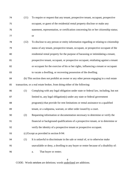| 74 | (11) | To require or request that any tenant, prospective tenant, occupant, prospective          |
|----|------|-------------------------------------------------------------------------------------------|
| 75 |      | occupant, or guest of the residential rental property disclose or make any                |
| 76 |      | statement, representation, or certification concerning his or her citizenship status;     |
| 77 |      | <b>or</b>                                                                                 |
| 78 | (12) | To disclose to any person or entity information regarding or relating to citizenship      |
| 79 |      | status of any tenant, prospective tenant, occupant, or prospective occupant of the        |
| 80 |      | residential rental property for the purpose of harassing or intimidating a tenant,        |
| 81 |      | prospective tenant, occupant, or prospective occupant, retaliating against a tenant       |
| 82 |      | or occupant for the exercise of his or her rights, influencing a tenant or occupant       |
| 83 |      | to vacate a dwelling, or recovering possession of the dwelling.                           |
| 84 |      | (b) This section does not prohibit an owner or any other person engaging in a real estate |
| 85 |      | transaction, or a real estate broker, from doing either of the following:                 |
| 86 | (1)  | Complying with any legal obligation under state or federal law, including, but not        |
| 87 |      | limited to, any legal obligation(s) under any state or federal government                 |
| 88 |      | program(s) that provide for rent limitations or rental assistance to a qualified          |
| 89 |      | tenant, or a subpoena, warrant, or other order issued by a court.                         |
| 90 | (2)  | Requesting information or documentation necessary to determine or verify the              |
| 91 |      | financial or background qualifications of a prospective tenant, or to determine or        |
| 92 |      | verify the identity of a prospective tenant or prospective occupant.                      |
| 93 |      | (c) Except as provided in section 8-94:                                                   |
| 94 | (1)  | It is unlawful to discriminate in the sale or rental of, or to otherwise make             |
| 95 |      | unavailable or deny, a dwelling to any buyer or renter because of a disability of:        |
| 96 |      | That buyer or renter;<br>a.                                                               |
|    |      |                                                                                           |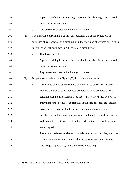| 97  |     | b.             | A person residing in or intending to reside in that dwelling after it is sold,           |
|-----|-----|----------------|------------------------------------------------------------------------------------------|
| 98  |     |                | rented or made available; or                                                             |
| 99  |     | $\mathbf{C}$ . | Any person associated with the buyer or renter.                                          |
| 100 | (2) |                | It is unlawful to discriminate against any person in the terms, conditions or            |
| 101 |     |                | privileges of sale or rental of a dwelling or in the provision of services or facilities |
| 102 |     |                | in connection with such dwelling, because of a disability of:                            |
| 103 |     | a.             | That buyer or renter;                                                                    |
| 104 |     | b.             | A person residing in or intending to reside in that dwelling after it is sold,           |
| 105 |     |                | rented or made available; or                                                             |
| 106 |     | $\mathbf{c}$ . | Any person associated with the buyer or renter.                                          |
| 107 | (3) |                | For purposes of subsections (1) and (2), discrimination includes:                        |
| 108 |     | a.             | A refusal to permit, at the expense of the disabled person, reasonable                   |
| 109 |     |                | modifications of existing premises occupied or to be occupied by such                    |
| 110 |     |                | person if such modifications may be necessary to afford such person full                 |
| 111 |     |                | enjoyment of the premises, except that, in the case of rental, the landlord              |
| 112 |     |                | may, where it is reasonable to do so, condition permission for a                         |
| 113 |     |                | modification on the renter agreeing to restore the interior of the premises              |
| 114 |     |                | to the condition that existed before the modification, reasonable wear and               |
| 115 |     |                | tear excepted.                                                                           |
| 116 |     | b.             | A refusal to make reasonable accommodations in rules, policies, practices                |
| 117 |     |                | or services when such accommodations may be necessary to afford such                     |
| 118 |     |                | person equal opportunity to use and enjoy a dwelling.                                    |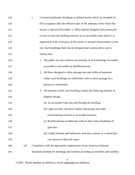| 119 |     | Covered multifamily dwellings as defined herein which are intended for<br>$\mathbf{C}$ . |
|-----|-----|------------------------------------------------------------------------------------------|
| 120 |     | first occupancy after the effective date of the ordinance from which this                |
| 121 |     | section is derived [November 2, 1992] shall be designed and constructed                  |
| 122 |     | to have at least one building entrance on an accessible route unless it is               |
| 123 |     | impractical to do so because of the terrain or unusual characteristics of the            |
| 124 |     | site. Such buildings shall also be designed and constructed in such a                    |
| 125 |     | manner that:                                                                             |
| 126 |     | 1. The public use and common use portions of such dwellings are readily                  |
| 127 |     | accessible to and usable by disabled persons.                                            |
| 128 |     | 2. All doors designed to allow passage into and within all premises                      |
| 129 |     | within such dwellings are sufficiently wide to allow passage by a                        |
| 130 |     | person in a wheelchair.                                                                  |
| 131 |     | All premises within such dwelling contain the following features of<br>3.                |
| 132 |     | adaptive design:                                                                         |
| 133 |     | (a) An accessible route into and through the dwelling.                                   |
| 134 |     | (b) Light switches, electrical outlets, thermostats and other                            |
| 135 |     | environmental controls in accessible locations.                                          |
| 136 |     | (c) Reinforcements in bathroom walls to allow later installation of                      |
| 137 |     | grab bars.                                                                               |
| 138 |     | (d) Usable kitchens and bathrooms such that a person in a wheelchair                     |
| 139 |     | can maneuver about the space.                                                            |
| 140 | (4) | Compliance with the appropriate requirements of the American National                    |
| 141 |     | Standards Institute for buildings and facilities providing accessibility and usability   |
|     |     |                                                                                          |

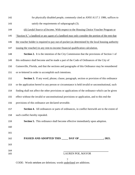| 142        | for physically disabled people, commonly cited as ANSI A117.1 1986, suffices to                   |  |  |  |
|------------|---------------------------------------------------------------------------------------------------|--|--|--|
| 143        | satisfy the requirements of subparagraph (3).                                                     |  |  |  |
| 144        | (d) Lawful Source of Income. With respect to the Housing Choice Voucher Program or                |  |  |  |
| 145        | "Section 8," a landlord or any agent of a landlord may only consider the portion of the rent that |  |  |  |
| 146        | the voucher holder is required to pay out-of-pocket (as determined by the local housing authority |  |  |  |
| 147        | issuing the voucher) in any rent-to-income financial qualification calculation.                   |  |  |  |
| 148        | <b>Section 2.</b> It is the intention of the City Commission that the provisions of Section 1 of  |  |  |  |
| 149        | this ordinance shall become and be made a part of the Code of Ordinances of the City of           |  |  |  |
| 150        | Gainesville, Florida, and that the sections and paragraphs of this Ordinance may be renumbered    |  |  |  |
| 151        | or re-lettered in order to accomplish such intentions.                                            |  |  |  |
| 152        | Section 3. If any word, phrase, clause, paragraph, section or provision of this ordinance         |  |  |  |
| 153        | or the application hereof to any person or circumstance is held invalid or unconstitutional, such |  |  |  |
| 154        | finding shall not affect the other provisions or applications of the ordinance which can be given |  |  |  |
| 155        | effect without the invalid or unconstitutional provisions or application, and to this end the     |  |  |  |
| 156        | provisions of this ordinance are declared severable.                                              |  |  |  |
| 157        | Section 4. All ordinances or parts of ordinances, in conflict herewith are to the extent of       |  |  |  |
| 158        | such conflict hereby repealed.                                                                    |  |  |  |
| 159        | Section 5. This ordinance shall become effective immediately upon adoption.                       |  |  |  |
| 160        |                                                                                                   |  |  |  |
| 161        |                                                                                                   |  |  |  |
| 162        |                                                                                                   |  |  |  |
| 163        |                                                                                                   |  |  |  |
| 164<br>165 | LAUREN POE, MAYOR                                                                                 |  |  |  |
|            |                                                                                                   |  |  |  |